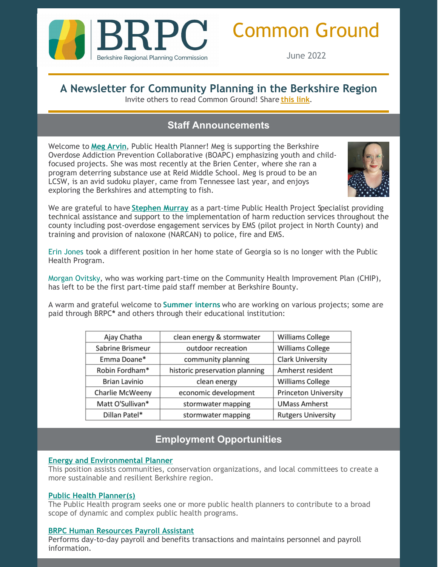

# Common Ground

June 2022

# **A Newsletter for Community Planning in the Berkshire Region**

Invite others to read Common Ground! Share **[this](https://lp.constantcontactpages.com/su/Ml2bsSL/CommonGround?source_id=c7aea75e-9ad7-43d3-a4ae-a29fac1e0c03&source_type=em&c=) link**.

# **Staff Announcements**

Welcome to **Meg [Arvin](mailto:marvin@berkshireplanning.org)**, Public Health Planner! Meg is supporting the Berkshire Overdose Addiction Prevention Collaborative (BOAPC) emphasizing youth and childfocused projects. She was most recently at the Brien Center, where she ran a program deterring substance use at Reid Middle School. Meg is proud to be an LCSW, is an avid sudoku player, came from Tennessee last year, and enjoys exploring the Berkshires and attempting to fish.



We are grateful to have **[Stephen](mailto:smurray@berkshireplanning.org) Murray** as a part-time Public Health Project Specialist providing technical assistance and support to the implementation of harm reduction services throughout the county including post-overdose engagement services by EMS (pilot project in North County) and training and provision of naloxone (NARCAN) to police, fire and EMS.

Erin Jones took a different position in her home state of Georgia so is no longer with the Public Health Program.

Morgan Ovitsky, who was working part-time on the Community Health Improvement Plan (CHIP), has left to be the first part-time paid staff member at Berkshire Bounty.

A warm and grateful welcome to **Summer interns** who are working on various projects; some are paid through BRPC**\*** and others through their educational institution:

| Ajay Chatha          | clean energy & stormwater      | Williams College            |
|----------------------|--------------------------------|-----------------------------|
| Sabrine Brismeur     | outdoor recreation             | Williams College            |
| Emma Doane*          | community planning             | <b>Clark University</b>     |
| Robin Fordham*       | historic preservation planning | Amherst resident            |
| <b>Brian Lavinio</b> | clean energy                   | Williams College            |
| Charlie McWeeny      | economic development           | <b>Princeton University</b> |
| Matt O'Sullivan*     | stormwater mapping             | <b>UMass Amherst</b>        |
| Dillan Patel*        | stormwater mapping             | <b>Rutgers University</b>   |

# **Employment Opportunities**

#### **Energy and [Environmental](https://berkshireplanning.org/energy-environmental-planner/) Planner**

This position assists communities, conservation organizations, and local committees to create a more sustainable and resilient Berkshire region.

#### **Public Health [Planner\(s\)](https://berkshireplanning.org/public-health-planner/)**

The Public Health program seeks one or more public health planners to contribute to a broad scope of dynamic and complex public health programs.

### **BRPC Human [Resources](https://berkshireplanning.org/human-resource-payroll-assistant/) Payroll Assistant**

Performs day-to-day payroll and benefits transactions and maintains personnel and payroll information.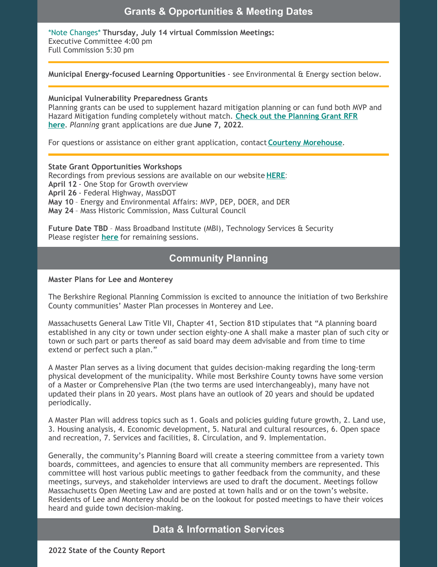## **Grants & Opportunities & Meeting Dates**

\*Note Changes\* **Thursday, July 14 virtual Commission Meetings:** Executive Committee 4:00 pm Full Commission 5:30 pm

**Municipal Energy-focused Learning Opportunities** - see Environmental & Energy section below.

#### **Municipal Vulnerability Preparedness Grants**

Planning grants can be used to supplement hazard mitigation planning or can fund both MVP and Hazard Mitigation funding completely without match. **Check out the Planning Grant RFR here**. *Planning* grant [applications](https://www.commbuys.com/bso/external/bidDetail.sdo?bidId=BD-22-1042-ENV-ENV01-71879) are due **June 7, 2022**.

For questions or assistance on either grant application, contact **Courteny [Morehouse](mailto:cmorehouse@berkshireplanning.org)**.

#### **State Grant Opportunities Workshops**

Recordings from previous sessions are available on our website **[HERE](https://berkshireplanning.org/grant-opportunities/)**: **April 12** - One Stop for Growth overview **April 26** - Federal Highway, MassDOT **May 10** – Energy and Environmental Affairs: MVP, DEP, DOER, and DER **May 24** – Mass Historic Commission, Mass Cultural Council

**Future Date TBD** – Mass Broadband Institute (MBI), Technology Services & Security Please register **[here](https://us02web.zoom.us/meeting/register/tZUtd--spzoqHtW1GeGR6z0iyrmhqzlQCNSO)** for remaining sessions.

# **Community Planning**

#### **Master Plans for Lee and Monterey**

The Berkshire Regional Planning Commission is excited to announce the initiation of two Berkshire County communities' Master Plan processes in Monterey and Lee.

Massachusetts General Law Title VII, Chapter 41, Section 81D stipulates that "A planning board established in any city or town under section eighty-one A shall make a master plan of such city or town or such part or parts thereof as said board may deem advisable and from time to time extend or perfect such a plan."

A Master Plan serves as a living document that guides decision-making regarding the long-term physical development of the municipality. While most Berkshire County towns have some version of a Master or Comprehensive Plan (the two terms are used interchangeably), many have not updated their plans in 20 years. Most plans have an outlook of 20 years and should be updated periodically.

A Master Plan will address topics such as 1. Goals and policies guiding future growth, 2. Land use, 3. Housing analysis, 4. Economic development, 5. Natural and cultural resources, 6. Open space and recreation, 7. Services and facilities, 8. Circulation, and 9. Implementation.

Generally, the community's Planning Board will create a steering committee from a variety town boards, committees, and agencies to ensure that all community members are represented. This committee will host various public meetings to gather feedback from the community, and these meetings, surveys, and stakeholder interviews are used to draft the document. Meetings follow Massachusetts Open Meeting Law and are posted at town halls and or on the town's website. Residents of Lee and Monterey should be on the lookout for posted meetings to have their voices heard and guide town decision-making.

# **Data & Information Services**

**2022 State of the County Report**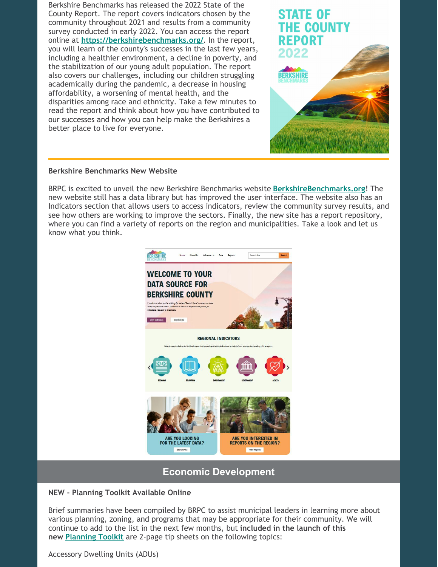Berkshire Benchmarks has released the 2022 State of the County Report. The report covers indicators chosen by the community throughout 2021 and results from a community survey conducted in early 2022. You can access the report online at **<https://berkshirebenchmarks.org/>**. In the report, you will learn of the county's successes in the last few years, including a healthier environment, a decline in poverty, and the stabilization of our young adult population. The report also covers our challenges, including our children struggling academically during the pandemic, a decrease in housing affordability, a worsening of mental health, and the disparities among race and ethnicity. Take a few minutes to read the report and think about how you have contributed to our successes and how you can help make the Berkshires a better place to live for everyone.



#### **Berkshire Benchmarks New Website**

BRPC is excited to unveil the new Berkshire Benchmarks website **[BerkshireBenchmarks.org](https://berkshirebenchmarks.org/)**! The new website still has a data library but has improved the user interface. The website also has an Indicators section that allows users to access indicators, review the community survey results, and see how others are working to improve the sectors. Finally, the new site has a report repository, where you can find a variety of reports on the region and municipalities. Take a look and let us know what you think.



# **Economic Development**

#### **NEW - Planning Toolkit Available Online**

Brief summaries have been compiled by BRPC to assist municipal leaders in learning more about various planning, zoning, and programs that may be appropriate for their community. We will continue to add to the list in the next few months, but **included in the launch of this new [Planning](https://r20.rs6.net/tn.jsp?f=001WEQ6yUm8p4pBAP2gYbTggWYfgrpEOhm-9O83Ijct8jd4KsS4aAPy6CfDMnNNoGM2E3uP5UpaRoqaUK4ZGGYJpY9Tlr45oS4m_vUSW27Y60oD6Wq9ym2cBLeu5oFmDRZLc7tSRA4Wu9gpn8TgIaibDPqF80zllcB9FURI4p2Mz4upksWtKZyedG3YDgzSUWxM&c=08yh7wZ5j5ahEl-QrtVmeAllgot7ZgLheY-d844tWaQDB3zeHodLQg==&ch=6m_OscJjTf0KIVrfr3jcfYZt8GQRfbXQobCCIvA4wfDmHB5n6GlR7g==) Toolkit** are 2-page tip sheets on the following topics:

Accessory Dwelling Units (ADUs)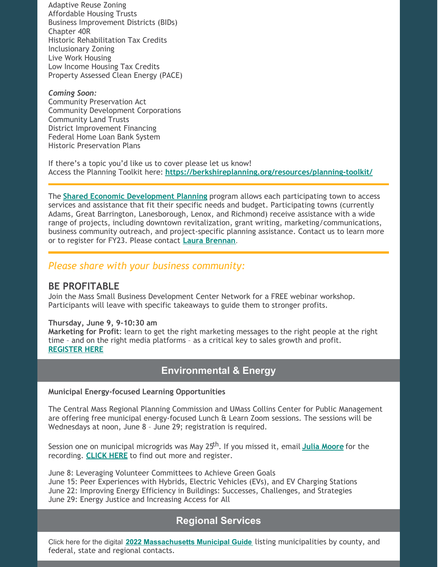Adaptive Reuse Zoning Affordable Housing Trusts Business Improvement Districts (BIDs) Chapter 40R Historic Rehabilitation Tax Credits Inclusionary Zoning Live Work Housing Low Income Housing Tax Credits Property Assessed Clean Energy (PACE)

*Coming Soon:* Community Preservation Act Community Development Corporations Community Land Trusts District Improvement Financing Federal Home Loan Bank System Historic Preservation Plans

If there's a topic you'd like us to cover please let us know! Access the Planning Toolkit here: **[https://berkshireplanning.org/resources/planning-toolkit/](https://r20.rs6.net/tn.jsp?f=001WEQ6yUm8p4pBAP2gYbTggWYfgrpEOhm-9O83Ijct8jd4KsS4aAPy6CfDMnNNoGM2E3uP5UpaRoqaUK4ZGGYJpY9Tlr45oS4m_vUSW27Y60oD6Wq9ym2cBLeu5oFmDRZLc7tSRA4Wu9gpn8TgIaibDPqF80zllcB9FURI4p2Mz4upksWtKZyedG3YDgzSUWxM&c=08yh7wZ5j5ahEl-QrtVmeAllgot7ZgLheY-d844tWaQDB3zeHodLQg==&ch=6m_OscJjTf0KIVrfr3jcfYZt8GQRfbXQobCCIvA4wfDmHB5n6GlR7g==)**

The **Shared Economic [Development](https://berkshireplanning.org/program/economic-development/) Planning** program allows each participating town to access services and assistance that fit their specific needs and budget. Participating towns (currently Adams, Great Barrington, Lanesborough, Lenox, and Richmond) receive assistance with a wide range of projects, including downtown revitalization, grant writing, marketing/communications, business community outreach, and project-specific planning assistance. Contact us to learn more or to register for FY23. Please contact **Laura [Brennan](mailto:lbrennan@berkshireplanning.org)**.

## *Please share with your business community:*

#### **BE PROFITABLE**

Join the Mass Small Business Development Center Network for a FREE webinar workshop. Participants will leave with specific takeaways to guide them to stronger profits.

#### **Thursday, June 9, 9-10:30 am**

**Marketing for Profit**: learn to get the right marketing messages to the right people at the right time – and on the right media platforms – as a critical key to sales growth and profit. **[REGISTER](https://clients.msbdc.org/workshop.aspx?ekey=150420007) HERE**

## **Environmental & Energy**

#### **Municipal Energy-focused Learning Opportunities**

The Central Mass Regional Planning Commission and UMass Collins Center for Public Management are offering free municipal energy-focused Lunch & Learn Zoom sessions. The sessions will be Wednesdays at noon, June 8 – June 29; registration is required.

Session one on municipal microgrids was May 25 th . If you missed it, email **Julia [Moore](mailto:jmoore@cmrpc.org)** for the recording. **[CLICK](https://www.cmrpcregionalservices.org/municipal-energy-planning) HERE** to find out more and register.

June 8: Leveraging Volunteer Committees to Achieve Green Goals June 15: Peer Experiences with Hybrids, Electric Vehicles (EVs), and EV Charging Stations June 22: Improving Energy Efficiency in Buildings: Successes, Challenges, and Strategies June 29: Energy Justice and Increasing Access for All

# **Regional Services**

Click here for the digital **2022 [Massachusetts](http://ma-municipalities.com/2022-23/) Municipal Guide** listing municipalities by county, and federal, state and regional contacts.